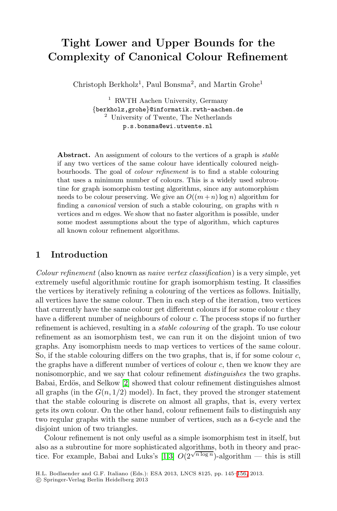# **Tight Lower and Upper Bounds for the Complexity of Canonical Colour Refinement**

Christoph Berkholz<sup>1</sup>, Paul Bonsma<sup>2</sup>, and Martin Grohe<sup>1</sup>

<sup>1</sup> RWTH Aachen University, Germany<br>{berkholz,grohe}@informatik.rwth-aachen.de <sup>2</sup> University of Twente, The Netherlands p.s.bonsma@ewi.utwente.nl

**Abstract.** An assignment of colours to the vertices of a graph is *stable* if any two vertices of the same colour have identically coloured neighbourhoods. The goal of *colour refinement* is to find a stable colouring that uses a minimum number of colours. This is a widely used subroutine for graph isomorphism testing algorithms, since any automorphism needs to be colour preserving. We give an  $O((m+n) \log n)$  algorithm for finding a *canonical* version of such a stable colouring, on graphs with *n* vertices and *m* edges. We show that no faster algorithm is possible, under some modest assumptions about the type of algorithm, which captures all known colour refinement algorithms.

### **1 Introduction**

*Colour refinement* (also known as *naive vertex classification*) is a very simple, yet extremely useful algorithmic routine for graph isomorphism testing. It classifies the vertices by iteratively refining a colouring of the vertices as follows. Initially, all vertices have the same colour. Then in each step of the iteration, two vertices that cur[ren](#page-11-0)tly have the same colour get different colours if for some colour  $c$  they have a different number of neighbours of colour c. The process stops if no further refinement is achieved, resulting in a *stable colouring* of the graph. To use colour refinement as an isomorphism test, we can run it on the disjoint union of two graphs. Any isomorphism needs to map vertices to vertices of the same colour. So, if the stable colouring differs on the two graphs, that is, if for some colour  $c$ , the graphs have a different number of vertices of colour c, then we know they are nonisomorphic, and we say that colour refinement *distinguishes* the two graphs. Babai, Erdös, and S[el](#page-11-1)[ko](#page-11-2)w [2] showed that colour refinement distinguishes almost all graphs (in the  $G(n, 1/2)$  model). In fact, they proved the stronger statement that the stable colouring is discrete on al[most](#page-11-3) all graphs, that is, every vertex gets its own colour. On the other hand, colour refinement fails to distinguish any two regular graphs with the same number of vertices, such as a 6-cycle and the disjoint union of two triangles.

Colour refinement is not only useful as a simple isomorphism test in itself, but also as a subroutine for more sophisticated algorithms, both in theory and pracalso as a substitute for more sophisticated algorithms, both in theory and practice. For example, Babai and Luks's [1,3]  $O(2^{\sqrt{n \log n}})$ -algorithm — this is still

H.L. Bodlaender and G.F. Italiano (Eds.): ESA 2013, LNCS 8125, pp. 145–156, 2013. c Springer-Verlag Berlin Heidelberg 2013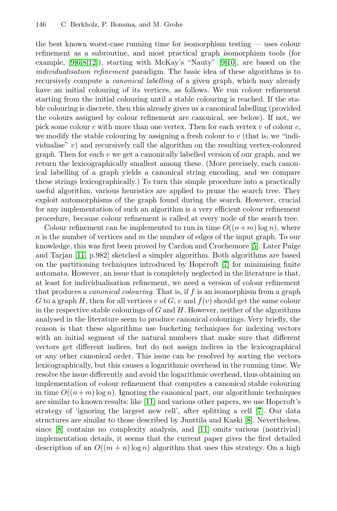the best known worst-case running time for isomorphism testing — uses colour refinement as a subroutine, and most practical graph isomorphism tools (for example, [9,6,8,12]), starting with McKay's "Nauty" [9,10], are based on the *individualisation refinement* paradigm. The basic idea of these algorithms is to recursively compute a *canonical labelling* of a given graph, which may already have an initial colouring of its vertices, as follows. We run colour refinement starting from the initial colouring until a stable colouring is reached. If the stable colouring is discrete, then this already gives us a canonical labelling (provided the colours assigned by colour refinement are canonical, see below). If not, we pick some colour  $c$  with more than one vertex. Then for each vertex  $v$  of colour  $c$ , we modify the stable colouring by assigning a fresh colour to  $v$  (that is, we "individualise" v) and recursively call the algorithm on the resulting vertex-coloured graph. Then for each  $v$  we get a canonically labelled version of our graph, and we return the lexicographically smallest among these. (More precisely, each canonical labelling of a graph yields a canonical s[trin](#page-11-4)g encoding, and we compare these strings lexicographically.) To turn this simple procedure into a practically useful algorithm, various heuristics ar[e](#page-11-5) applied to prune the search tree. They exploit automorphisms of the graph found during the search. However, crucial for any implementation of such an algorithm is a very efficient colour refinement procedure, because colour refinement is called at every node of the search tree.

Colour refinement can be implemented to run in time  $O((n+m) \log n)$ , where  $n$  is the number of vertices and  $m$  the number of edges of the input graph. To our knowledge, this was first been proved by Cardon and Crochemore [5]. Later Paige and Tarjan [11, p.982] sketched a simpler algorithm. Both algorithms are based on the partitioning techniques introduced by Hopcroft [7] for minimising finite automata. However, an issue that is completely neglected in the literature is that, at least for individualisation refinement, we need a version of colour refinement that produces a *canonical colouring*. That is, if f is an isomorphism from a graph G to a graph H, then for all vertices v of G, v and  $f(v)$  should get the same colour in the respective stable colourings of  $G$  and  $H$ . However, neither of the algorithms analysed in the literature seem to produce canonical colourings. Very briefly, the reason is that [the](#page-11-6)se algorithms use bucketing techniques for indexing vectors with an initial segment of the natural number[s t](#page-11-5)hat make sure that different vectors get different indices, but do not as[sig](#page-11-7)n indices in the lexicographical or any other canonical order. [This](#page-11-6) issue can be resolved by sorting the vectors lexicographically, but this causes a logarithmic overhead in the running time. We resolve the issue differently and avoid the logarithmic overhead, thus obtaining an implementation of colour refinement that computes a canonical stable colouring in time  $O((n+m) \log n)$ . Ignoring the canonical part, our algorithmic techniques are similar to known results: like [11] and various other papers, we use Hopcroft's strategy of 'ignoring the largest new cell', after splitting a cell [7]. Our data structures are similar to those described by Junttila and Kaski [8]. Nevertheless, since [8] contains no complexity analysis, and [11] omits various (nontrivial) implementation details, it seems that the current paper gives the first detailed description of an  $O((m+n) \log n)$  algorithm that uses this strategy. On a high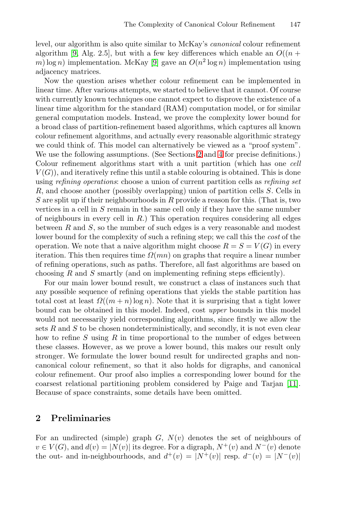level, our algorithm is also quite similar to McKay's *canonical* colour refinement algorithm [9, Alg. 2.5], but with a few key differences which enable an  $O((n +$ m) log n) implementation. McKay [9] gave an  $O(n^2 \log n)$  implementation using adjacency matrices.

Now the question arises w[he](#page-2-0)ther [co](#page-7-0)lour refinement can be implemented in linear time. After various attempts, we started to believe that it cannot. Of course with currently known techniques one cannot expect to disprove the existence of a linear time algorithm for the standard (RAM) computation model, or for similar general computation models. Instead, we prove the complexity lower bound for a broad class of partition-refinement based algorithms, which captures all known colour refinement algorithms, and actually every reasonable algorithmic strategy we could think of. This model can alternatively be viewed as a "proof system". We use the following assumptions. (See Sections 2 and 4 for precise definitions.) Colour refinement algorithms start with a unit partition (which has one *cell*  $V(G)$ , and iteratively refine this until a stable colouring is obtained. This is done using *refining operations*: choose a union of current partition cells as *refining set* R, and choose another (possibly overlapping) union of partition cells S. Cells in S are split up if their neighbourhoods in  $R$  provide a reason for this. (That is, two vertices in a cell in S remain in the same cell only if they have the same number of neighbours in every cell in  $R$ .) This operation requires considering all edges between  $R$  and  $S$ , so the number of such edges is a very reasonable and modest lower bound for the complexity of such a refining step; we call this the *cost* of the operation. We note that a naive algorithm might choose  $R = S = V(G)$  in every iteration. This then requires time  $\Omega(mn)$  on graphs that require a linear number of refining operations, such as paths. Therefore, all fast algorithms are based on choosing  $R$  and  $S$  smartly (and on implementing refining steps efficiently).

<span id="page-2-0"></span>For our main lower bound result, we construct a class of instances such that any possible sequence of refining operations that yields the stable partition has total cost at least  $\Omega((m+n)\log n)$ . Note that it is surprising that a tight lower bound can be obtained in this model. Indeed, cost *upper* [bou](#page-11-6)nds in this model would not necessarily yield corresponding algorithms, since firstly we allow the sets  $R$  and  $S$  to be chosen nondeterministically, and secondly, it is not even clear how to refine S using R in time proportional to the number of edges between these classes. However, as we prove a lower bound, this makes our result only stronger. We formulate the lower bound result for undirected graphs and noncanonical colour refinement, so that it also holds for digraphs, and canonical colour refinement. Our proof also implies a corresponding lower bound for the coarsest relational partitioning problem considered by Paige and Tarjan [11]. Because of space constraints, some details have been omitted.

# **2 Preliminaries**

For an undirected (simple) graph  $G, N(v)$  denotes the set of neighbours of  $v \in V(G)$ , and  $d(v) = |N(v)|$  its degree. For a digraph,  $N^+(v)$  and  $N^-(v)$  denote the out- and in-neighbourhoods, and  $d^+(v) = |N^+(v)|$  resp.  $d^-(v) = |N^-(v)|$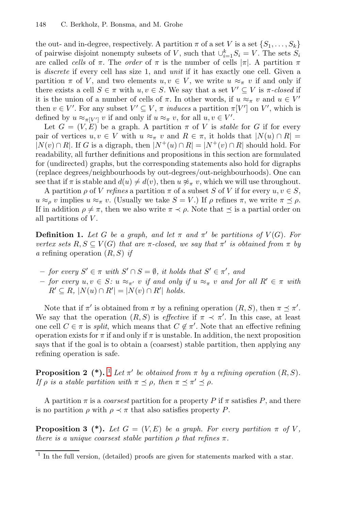the out- and in-degree, respectively. A partition  $\pi$  of a set  $\{S_1, \ldots, S_k\}$ of pairwise disjoint nonempty subsets of V, such that  $\cup_{i=1}^k S_i = V$ . The sets  $S_i$ are called *cells* of  $\pi$ . The *order* of  $\pi$  is the number of cells  $|\pi|$ . A partition  $\pi$ is *discrete* if every cell has size 1, and *unit* if it has exactly one cell. Given a partition  $\pi$  of V, and two elements  $u, v \in V$ , we write  $u \approx_{\pi} v$  if and only if there exists a cell  $S \in \pi$  with  $u, v \in S$ . We say that a set  $V' \subseteq V$  is  $\pi$ -closed if it is the union of a number of cells of  $\pi$ . In other words, if  $u \approx_{\pi} v$  and  $u \in V'$ then  $v \in V'$ . For any subset  $V' \subseteq V$ ,  $\pi$  *induces* a partition  $\pi[V']$  on  $V'$ , which is defined by  $u \approx_{\pi[V']} v$  if and only if  $u \approx_{\pi} v$ , for all  $u, v \in V'$ .

Let  $G = (V, E)$  be a graph. A partition  $\pi$  of V is *stable* for G if for every pair of vertices  $u, v \in V$  with  $u \approx_{\pi} v$  and  $R \in \pi$ , it holds that  $|N(u) \cap R|$  $|N(v) \cap R|$ . If G is a digraph, then  $|N^+(u) \cap R| = |N^+(v) \cap R|$  should hold. For readability, all further definitions and propositions in this section are formulated for (undirected) graphs, but the corresponding statements also hold for digraphs (replace degrees/neighbourhoods by out-degrees/out-neighbourhoods). One can see that if  $\pi$  is stable and  $d(u) \neq d(v)$ , then  $u \not\approx_{\pi} v$ , which we will use throughout.

A partition  $\rho$  of V *refines* a partition  $\pi$  of a subset S of V if for every  $u, v \in S$ ,  $u \approx_{\rho} v$  implies  $u \approx_{\pi} v$ . (Usually we take  $S = V$ .) If  $\rho$  refines  $\pi$ , we write  $\pi \preceq \rho$ . If in addition  $\rho \neq \pi$ , then we also write  $\pi \prec \rho$ . Note that  $\preceq$  is a partial order on all partitions of  $V$ .

<span id="page-3-1"></span>**Definition 1.** Let G be a graph, and let  $\pi$  and  $\pi'$  be partitions of  $V(G)$ . For *vertex sets*  $R, S \subseteq V(G)$  *that are*  $\pi$ -*closed, we say that*  $\pi'$  *is obtained from*  $\pi$  *by a* refining operation (R, S) *if*

- $-$  *for every*  $S' \in \pi$  *with*  $S' \cap S = \emptyset$ *, it holds that*  $S' \in \pi'$ *, and*
- $-$  *for every*  $u, v \in S$ :  $u \approx_{\pi'} v$  *if and only if*  $u \approx_{\pi} v$  *and for all*  $R' \in \pi$  *with*  $R' \subseteq R$ ,  $|N(u) \cap R'| = |N(v) \cap R'|$  holds.

<span id="page-3-0"></span>[No](#page-3-0)te that if  $\pi'$  is obtained from  $\pi$  by a refining operation  $(R, S)$ , then  $\pi \preceq \pi'$ . We say that the operation  $(R, S)$  is *effective* if  $\pi \prec \pi'$ . In this case, at least one cell  $C \in \pi$  is *split*, which means that  $C \notin \pi'$ . Note that an effective refining operation exists for  $\pi$  if and only if  $\pi$  is unstable. In addition, the next proposition says that if the goal is to obtain a (coarsest) stable partition, then applying any refining operation is safe.

**Proposition 2** (\*). <sup>1</sup> *Let*  $\pi'$  *be obtained from*  $\pi$  *by a refining operation*  $(R, S)$ *. If*  $\rho$  *is a stable partition with*  $\pi \preceq \rho$ *, then*  $\pi \preceq \pi' \preceq \rho$ *.* 

A partition  $\pi$  is a *coarsest* partition for a property P if  $\pi$  satisfies P, and there is no partition  $\rho$  with  $\rho \prec \pi$  that also satisfies property P.

**Proposition 3** (\*). Let  $G = (V, E)$  be a graph. For every partition  $\pi$  of V, *there is a unique coarsest stable partition*  $\rho$  *that refines*  $\pi$ *.* 

 $1$  In the full version, (detailed) proofs are given for statements marked with a star.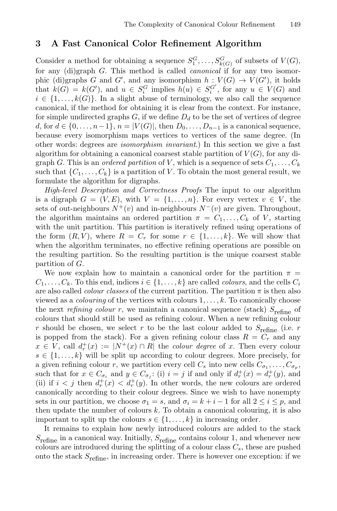### **3 A Fast Canonical Color Refinement Algorithm**

Consider a method for obtaining a sequence  $S_1^G, \ldots, S_{k(G)}^G$  of subsets of  $V(G)$ , for any (di)graph G. This method is called *canonical* if for any two isomorphic (di)graphs G and G', and any isomorphism  $h: V(G) \to V(G')$ , it holds that  $k(G) = k(G')$ , and  $u \in S_i^G$  implies  $h(u) \in S_i^{G'}$ , for any  $u \in V(G)$  and  $i \in \{1, \ldots, k(G)\}\.$  In a slight abuse of terminology, we also call the sequence canonical, if the method for obtaining it is clear from the context. For instance, for simple undirected graphs  $G$ , if we define  $D_d$  to be the set of vertices of degree d, for  $d \in \{0, \ldots, n-1\}, n = |V(G)|$ , then  $D_0, \ldots, D_{n-1}$  is a canonical sequence, because every isomorphism maps vertices to vertices of the same degree. (In other words: degrees are *isomorphism invariant*.) In this section we give a fast algorithm for obtaining a canonical coarsest stable partition of  $V(G)$ , for any digraph G. This is an *ordered partition* of V, which is a sequence of sets  $C_1, \ldots, C_k$ such that  $\{C_1,\ldots,C_k\}$  is a partition of V. To obtain the most general result, we formulate the algorithm for digraphs.

*High-level Description and Correctness Proofs* The input to our algorithm is a digraph  $G = (V, E)$ , with  $V = \{1, \ldots, n\}$ . For every vertex  $v \in V$ , the sets of out-neighbours  $N^+(v)$  and in-neighbours  $N^-(v)$  are given. Throughout, the algorithm maintains an ordered partition  $\pi = C_1, \ldots, C_k$  of V, starting with the unit partition. This partition is iteratively refined using operations of the form  $(R, V)$ , where  $R = C_r$  for some  $r \in \{1, \ldots, k\}$ . We will show that when the algorithm terminates, no effective refining operations are possible on the resulting partition. So the resulting partition is the unique coarsest stable partition of G.

We now explain how to maintain a canonical order for the partition  $\pi$  =  $C_1,\ldots,C_k$ . To this end, indices  $i \in \{1,\ldots,k\}$  are called *colours*, and the cells  $C_i$ are also called *colour classes* of the current partition. The partition  $\pi$  is then also viewed as a *colouring* of the vertices with colours 1,...,k. To canonically choose the next *refining colour* r, we maintain a canonical sequence (stack)  $S_{\text{refine}}$  of colours that should still be used as refining colour. When a new refining colour r should be chosen, we select r to be the last colour added to  $S_{\text{refine}}$  (i.e. r is popped from the stack). For a given refining colour class  $R = C_r$  and any  $x \in V$ , call  $d_r^+(x) := |N^+(x) \cap R|$  the *colour degree* of x. Then every colour  $s \in \{1, \ldots, k\}$  will be split up according to colour degrees. More precisely, for a given refining colour r, we partition every cell  $C_s$  into new cells  $C_{\sigma_1}, \ldots, C_{\sigma_p}$ , such that for  $x \in C_{\sigma_i}$  and  $y \in C_{\sigma_j}$ : (i)  $i = j$  if and only if  $d_r^+(x) = d_r^+(y)$ , and (ii) if  $i < j$  then  $d_r^+(x) < d_r^+(y)$ . In other words, the new colours are ordered canonically according to their colour degrees. Since we wish to have nonempty sets in our partition, we choose  $\sigma_1 = s$ , and  $\sigma_i = k + i - 1$  for all  $2 \le i \le p$ , and then update the number of colours  $k$ . To obtain a canonical colouring, it is also important to split up the colours  $s \in \{1, \ldots, k\}$  in increasing order.

It remains to explain how newly introduced colours are added to the stack  $S_{\text{refine}}$  in a canonical way. Initially,  $S_{\text{refine}}$  contains colour 1, and whenever new colours are introduced during the splitting of a colour class  $C_s$ , these are pushed onto the stack  $S_{\text{refine}}$ , in increasing order. There is however one exception: if we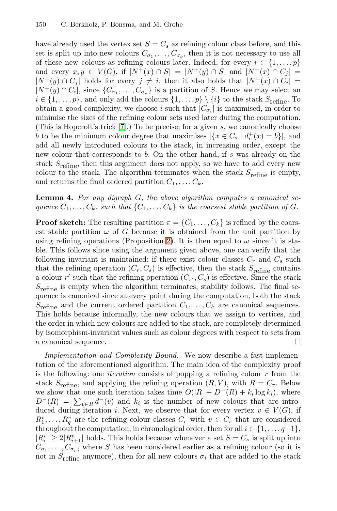<span id="page-5-0"></span>have already used the vertex set  $S = C_s$  as refining colour class before, and this set is s[pli](#page-11-5)t up into new colours  $C_{\sigma_1}, \ldots, C_{\sigma_p}$ , then it is not necessary to use all of these new colours as refining colours later. Indeed, for every  $i \in \{1, ..., p\}$ and every  $x, y \in V(G)$ , if  $|N^+(x) \cap S| = |N^+(y) \cap S|$  and  $|N^+(x) \cap C_j|$  $|N^+(y) \cap C_j|$  holds for every  $j \neq i$ , then it also holds that  $|N^+(x) \cap C_i|$  =  $|N^+(y) \cap C_i|$ , since  $\{C_{\sigma_1}, \ldots, C_{\sigma_p}\}\$ is a partition of S. Hence we may select an  $i \in \{1,\ldots,p\}$ , and only add the colours  $\{1,\ldots,p\} \setminus \{i\}$  to the stack  $S_{\text{refine}}$ . To obtain a good complexity, we choose i such that  $|C_{\sigma_i}|$  is maximised, in order to minimise the sizes of the refining colour sets used later during the computation. (This is Hopcroft's trick [7].) To be precise, for a given s, we canonically choose b to be the minimum colour degree that maximises  $|\{x \in C_s \mid d_r^+(x) = b\}|$ , and add all newly introduced colours to the stack, in increasing order, except the new colour that corresponds to b. On the other hand, if s was already on the stack <sup>S</sup>refine, then this argument does not apply, so we have to add every new colour to the stack. [Th](#page-3-1)e algorithm terminates when the stack  $S_{\text{refine}}$  is empty, and returns the final ordered partition  $C_1, \ldots, C_k$ .

### **Lemma 4.** *For any digraph* G*, the above algorithm computes a canonical sequence*  $C_1, \ldots, C_k$ *, such that*  $\{C_1, \ldots, C_k\}$  *is the coarsest stable partition of* G.

**Proof sketch:** The resulting partition  $\pi = \{C_1, \ldots, C_k\}$  is refined by the coarsest stable partition  $\omega$  of G because it is obtained from the unit partition by using refining operations (Proposition 2). It is then equal to  $\omega$  since it is stable. This follows since using the argument given above, one can verify that the following invariant is maintained: if there exist colour classes  $C_r$  and  $C_s$  such that the refining operation  $(C_r, C_s)$  is effective, then the stack  $S_{\text{refine}}$  contains a colour r' such that the refining operation  $(C_{r'}, C_s)$  is effective. Since the stack  $S_{\text{refine}}$  is empty when the algorithm terminates, stability follows. The final sequence is canonical since at every point during the computation, both the stack  $S_{\text{refine}}$  and the current ordered partition  $C_1, \ldots, C_k$  are canonical sequences. This holds because informally, the new colours that we assign to vertices, and the order in which new colours are added to the stack, are completely determined by isomorphism-invariant values such as colour degrees with respect to sets from a canonical sequence.  $\Box$ 

*Implementation and Complexity Bound.* We now describe a fast implementation of the aforementioned algorithm. The main idea of the complexity proof is the following: one *iteration* consists of popping a refining colour r from the stack  $S_{\text{refine}}$ , and applying the refining operation  $(R, V)$ , with  $R = C_r$ . Below we show that one such iteration takes time  $O(|R| + D^{-}(R) + k_i \log k_i)$ , where  $D^{-}(R) = \sum_{v \in R} d^{-}(v)$  and  $k_i$  is the number of new colours that are introduced during iteration *i*. Next, we observe that for every vertex  $v \in V(G)$ , if  $R_1^v, \ldots, R_q^v$  are the refining colour classes  $C_r$  with  $v \in C_r$  that are considered throughout the computation, in chronological order, then for all  $i \in \{1, \ldots, q-1\}$ ,  $|R_i^v| \geq 2|R_{i+1}^v|$  holds. This holds because whenever a set  $S = C_s$  is split up into  $C_{\sigma_1}, \ldots, C_{\sigma_n}$ , where S has been considered earlier as a refining colour (so it is not in  $S_{\text{refine}}$  anymore), then for all new colours  $\sigma_i$  that are added to the stack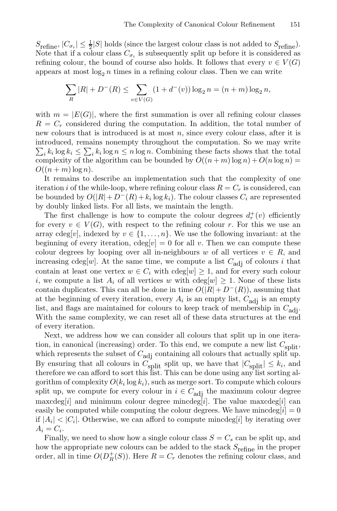$S_{\text{refine}}$ ,  $|C_{\sigma_i}| \leq \frac{1}{2}|S|$  holds (since the largest colour class is not added to  $S_{\text{refine}}$ ). Note that if a colour class  $C_{\sigma_i}$  is subsequently split up before it is considered as refining colour, the bound of course also holds. It follows that every  $v \in V(G)$ appears at most  $\log_2 n$  times in a refining colour class. Then we can write

$$
\sum_{R} |R| + D^{-}(R) \le \sum_{v \in V(G)} (1 + d^{-}(v)) \log_2 n = (n + m) \log_2 n,
$$

with  $m = |E(G)|$ , where the first summation is over all refining colour classes  $R = C_r$  considered during the computation. In addition, the total number of new colours that is introduced is at most  $n$ , since every colour class, after it is introduced, remains nonempty throughout the computation. So we may write  $\sum_i k_i \log k_i \leq \sum_i k_i \log n \leq n \log n$ . Combining these facts shows that the total complexity of the algorithm can be bounded by  $O((n+m)\log n) + O(n\log n) =$  $O((n+m)\log n)$ .

It remains to describe an implementation such that the complexity of one iteration i of the while-loop, where refining colour class  $R = C_r$  is considered, can be bounded by  $O(|R| + D^{-1}(R) + k_i \log k_i)$ . The colour classes  $C_i$  are represented by doubly linked lists. For all lists, we maintain the length.

The first challenge is how to compute the colour degrees  $d_r^+(v)$  efficiently for every  $v \in V(G)$ , with respect to the refining colour r. For this we use an array cdeg[v], indexed by  $v \in \{1, \ldots, n\}$ . We use the following invariant: at the beginning of every iteration,  $\deg[v] = 0$  for all v. Then we can compute these colour degrees by looping over all in-neighbours w of all vertices  $v \in R$ , and increasing cdeg[w]. At the same time, we compute a list  $C_{\text{adj}}$  of colours i that contain at least one vertex  $w \in C_i$  with  $\deg[w] \geq 1$ , and for every such colour i, we compute a list  $A_i$  of all vertices w with  $\deg[w] \geq 1$ . None of these lists contain duplicates. This can all be done in time  $O(|R| + D^{-1}(R))$ , assuming that at the beginning of every iteration, every  $A_i$  is an empty list,  $C_{\text{adj}}$  is an empty list, and flags are maintained for colours to keep track of membership in  $C_{\text{adi}}$ . With the same complexity, we can reset all of these data structures at the end of every iteration.

Next, we address how we can consider all colours that split up in one iteration, in canonical (increasing) order. To this end, we compute a new list  $C_{\text{split}}$ , which represents the subset of  $C_{\text{adj}}$  containing all colours that actually split up. By ensuring that all colours in  $C_{split}$  split up, we have that  $|C_{split}| \leq k_i$ , and therefore we can afford to sort this list. This can be done using any list sorting algorithm of complexity  $O(k_i \log k_i)$ , such as merge sort. To compute which colours split up, we compute for every colour in  $i \in C_{\text{adj}}$  the maximum colour degree maxcdeg[i] and minimum colour degree mincdeg[i]. The value maxcdeg[i] can easily be computed while computing the colour degrees. We have mincdeg[i] = 0 if  $|A_i| < |C_i|$ . Otherwise, we can afford to compute mincdeg[i] by iterating over  $A_i = C_i.$ 

Finally, we need to show how a single colour class  $S = C_s$  can be split up, and how the appropriate new colours can be added to the stack  $S_{\text{refine}}$  in the proper order, all in time  $O(D_R^+(S))$ . Here  $R = C_r$  denotes the refining colour class, and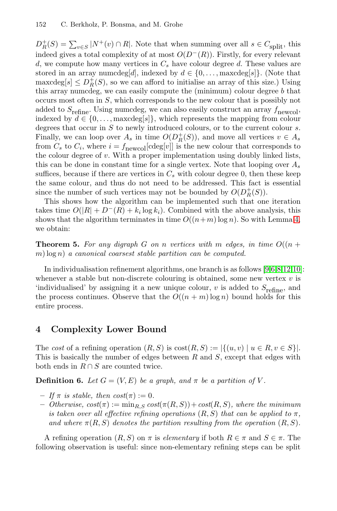$D_R^+(S) = \sum_{v \in S} |N^+(v) \cap R|$ . Note that when summing over all  $s \in C_{\text{split}}$ , this indeed gives a total complexity of at most  $O(D^-(R))$ . Firstly, for every relevant d, we compute how many vertices in  $C_s$  have colour degree d. These values are stored in an array numcdeg[d], indexed by  $d \in \{0, \ldots, \text{maxcdeg}[s]\}\$ . (Note that maxcdeg[s]  $\leq D_R^+(S)$ , so we can afford to initialise an array of this size.) Using this array numcdeg, we can easily compute the (minimum) colour degree b that occurs most often in S, which corresponds to the new colour that is possibly not added to  $S_{\text{refine}}$ . Using numcdeg, we can also easily construct an array  $f_{\text{newcol}}$ , indexed by  $d \in \{0, \ldots, \text{maxcdeg}[s]\},$  which represents the mapping from colour degrees that occur in  $S$  to newly introduced colours, or to the current colour  $s$ . Finally, we can loop over  $A_s$  in time  $O(D_R^+(S))$ , and move all vertices  $v \in A_s$ from  $C_s$  to  $C_i$ , where  $i = f_{\text{newcol}}[\text{cdeg}[v]]$  is [th](#page-5-0)e new colour that corresponds to the colour degree of  $v$ . With a proper implementation using doubly linked lists, this can be done in constant time for a single vertex. Note that looping over  $A_s$ suffices, because if there are vertices in  $C_s$  with colour degree 0, then these keep the same colour, and thus do not need to be addressed. This fact is essential since the number of such vertices may not be bounded by  $O(D_R^+(S))$ .

<span id="page-7-0"></span>This shows how the algorithm can be impleme[nt](#page-11-8)[e](#page-11-9)[d](#page-11-7) [suc](#page-11-10)[h](#page-11-11) [t](#page-11-11)hat one iteration takes time  $O(|R| + D^{-}(R) + k_i \log k_i)$ . Combined with the above analysis, this shows that the algorithm terminates in time  $O((n+m)\log n)$ . So with Lemma 4, we obtain:

**Theorem 5.** For any digraph G on n vertices with m edges, in time  $O((n +$ m) log n) *a canonical coarsest stable partition can be computed.*

In individualisation refinement algorithms, one branch is as follows [9,6,8,12,10]: whenever a stable but non-discrete colouring is obtained, some new vertex  $v$  is 'individualised' by assigning it a new unique colour, v is added to  $S_{\text{refine}}$ , and the process continues. Observe that the  $O((n + m) \log n)$  bound holds for this entire process.

# **4 Complexity Lower Bound**

The *cost* of a refining operation  $(R, S)$  is  $cost(R, S) := |\{(u, v) | u \in R, v \in S\}|$ . This is basically the number of edges between  $R$  and  $S$ , except that edges with both ends in  $R \cap S$  are counted twice.

**Definition 6.** *Let*  $G = (V, E)$  *be a graph, and*  $\pi$  *be a partition of* V.

- $-If \pi$  *is stable, then cost*( $\pi$ ) := 0*.*
- $-$  *Otherwise,*  $cost(\pi) := \min_{R,S} cost(\pi(R, S)) + cost(R, S)$ *, where the minimum is taken over all effective refining operations*  $(R, S)$  *that can be applied to*  $\pi$ *, and where*  $\pi(R, S)$  *denotes the partition resulting from the operation*  $(R, S)$ *.*

A refining operation  $(R, S)$  on  $\pi$  is *elementary* if both  $R \in \pi$  and  $S \in \pi$ . The following observation is useful: since non-elementary refining steps can be split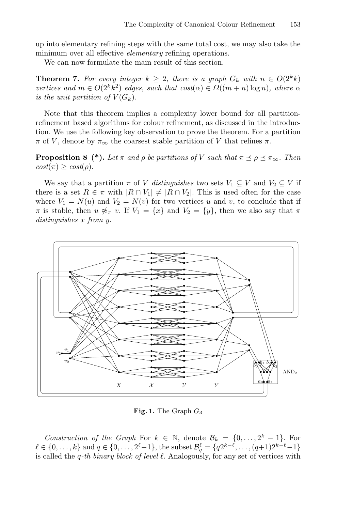<span id="page-8-1"></span>up into elementary refining steps with the same total cost, we may also take the minimum over all effective *elementary* refining operations.

We can now formulate the main result of this section.

**Theorem 7.** For every integer  $k > 2$ , there is a graph  $G_k$  with  $n \in O(2^k k)$ *vertices and*  $m \in O(2^k k^2)$  *edges, such that*  $cost(\alpha) \in \Omega((m+n) \log n)$ *, where*  $\alpha$ *is the unit partition of*  $V(G_k)$ *.* 

Note that this theorem implies a complexity lower bound for all partitionrefinement based algorithms for colour refinement, as discussed in the introduction. We use the following key observation to prove the theorem. For a partition  $\pi$  of V, denote by  $\pi_{\infty}$  the coarsest stable partition of V that refines  $\pi$ .

**Proposition 8** (\*). Let  $\pi$  and  $\rho$  be partitions of V such that  $\pi \leq \rho \leq \pi_{\infty}$ . Then  $cost(\pi) \ge cost(\rho)$ .

We say that a partition  $\pi$  of V *distinguishes* two sets  $V_1 \subseteq V$  and  $V_2 \subseteq V$  if there is a set  $R \in \pi$  with  $|R \cap V_1| \neq |R \cap V_2|$ . This is used often for the case where  $V_1 = N(u)$  and  $V_2 = N(v)$  for two vertices u and v, to conclude that if  $\pi$  is stable, then  $u \not\approx_{\pi} v$ . If  $V_1 = \{x\}$  and  $V_2 = \{y\}$ , then we also say that  $\pi$ *distinguishes* x *from* y.



<span id="page-8-0"></span>**Fig. 1.** The Graph *<sup>G</sup>*<sup>3</sup>

*Construction of the Graph* For  $k \in \mathbb{N}$ , denote  $\mathcal{B}_k = \{0, \ldots, 2^k - 1\}$ . For  $\ell \in \{0, \ldots, k\}$  and  $q \in \{0, \ldots, 2^{\ell}-1\}$ , the subset  $\mathcal{B}_q^{\ell} = \{q2^{k-\ell}, \ldots, (q+1)2^{k-\ell}-1\}$ is called the  $q$ -th binary block of level  $\ell$ . Analogously, for any set of vertices with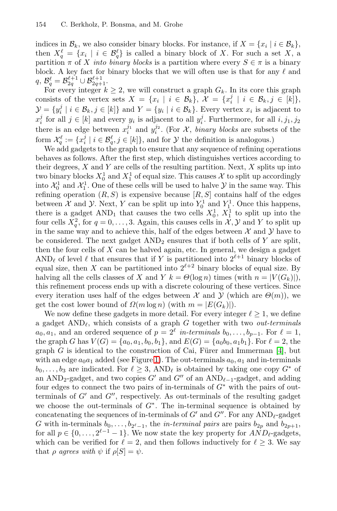indices in  $\mathcal{B}_k$ , we also consider binary blocks. For instance, if  $X = \{x_i \mid i \in \mathcal{B}_k\},\$ then  $X_q^{\ell} = \{x_i \mid i \in \mathcal{B}_q^{\ell}\}\$ is called a binary block of X. For such a set X, a partition  $\pi$  of X *into binary blocks* is a partition where every  $S \in \pi$  is a binary block. A key fact for binary blocks that we will often use is that for any  $\ell$  and  $q,\,\mathcal{B}_{q}^{\ell}=\mathcal{B}_{2q}^{\ell+1}\cup \mathcal{B}_{2q+1}^{\ell+1}.$ 

For every integer  $k \geq 2$ , we will construct a graph  $G_k$ . In its core this graph consists of the vertex sets  $X = \{x_i \mid i \in \mathcal{B}_k\}, \; \mathcal{X} = \{x_i^j \mid i \in \mathcal{B}_k, j \in [k]\},$  $\mathcal{Y} = \{y_i^j \mid i \in \mathcal{B}_k, j \in [k]\}\$ and  $Y = \{y_i \mid i \in \mathcal{B}_k\}$ . Every vertex  $x_i$  is adjacent to  $x_i^j$  for all  $j \in [k]$  and every  $y_i$  is adjacent to all  $y_i^j$ . Furthermore, for all  $i, j_1, j_2$ there is an edge between  $x_i^{j_1}$  and  $y_i^{j_2}$ . (For X, *binary blocks* are subsets of the form  $\mathcal{X}_{q}^{\ell} := \{x_i^j \mid i \in \mathcal{B}_{q}^{\ell}, j \in [k]\},\$ and for  $\mathcal Y$  the definition is analogous.)

We add gadgets to the graph to ensure that any sequence of refining operations behaves as follows. After the first step, which distinguishes vertices according to their degrees,  $X$  and  $Y$  are cells of the resulting partition. Next,  $X$  splits up into two binary blocks  $X_0^1$  and  $X_1^1$  of equal size. This causes X to split up accordingly into  $\mathcal{X}_0^1$  and  $\mathcal{X}_1^1$ . One of these cells will be used to halve  $\mathcal Y$  in the same way. This refining operation  $(R, S)$  is expensive because  $[R, S]$  contains half of the edges between  $\mathcal X$  and  $\mathcal Y$ . Next,  $Y$  can be split up into  $Y_0^1$  and  $Y_1^1$ . Once this happens, there is a gadget AND<sub>1</sub> that causes the two cells  $X_0^1$ ,  $X_1^1$  to split up into the four cells  $X_q^2$ , for  $q = 0, \ldots, 3$ . Again, this causes cells in  $\mathcal{X}, \mathcal{Y}$  and Y to split up in the same way and to achieve this, half of the edges between  $\mathcal X$  and  $\mathcal Y$  have to be considered. The next gadget  $AND_2$  ensures that if both cells of Y are split, then the four cells of  $X$  can be halved again, etc. In general, we design a gadget AND<sub> $\ell$ </sub> of level  $\ell$  that ensures that if Y is partitioned into  $2^{\ell+1}$  binary blocks of equal size, then X can be partitioned into  $2^{\ell+2}$  binary blocks of equal size. By halving all the cells classes of X and Y  $k = \Theta(\log n)$  t[im](#page-11-12)es (with  $n = |V(G_k)|$ ), this refinement p[roc](#page-8-0)ess ends up with a discrete colouring of these vertices. Since every iteration uses half of the edges between  $\mathcal X$  and  $\mathcal Y$  (which are  $\Theta(m)$ ), we get the cost lower bound of  $\Omega(m \log n)$  (with  $m = |E(G_k)|$ ).

<span id="page-9-0"></span>We now define these gadgets in more detail. For every integer  $\ell \geq 1$ , we define a gadget  $AND_{\ell}$ , which consists of a graph G together with two *out-terminals*  $a_0, a_1$ , and an ordered sequence of  $p = 2^{\ell}$  *in-terminals*  $b_0, \ldots, b_{p-1}$ . For  $\ell = 1$ , the graph G has  $V(G) = \{a_0, a_1, b_0, b_1\}$ , and  $E(G) = \{a_0b_0, a_1b_1\}$ . For  $\ell = 2$ , the graph  $G$  is identical to the construction of Cai, Fürer and Immerman [4], but with an edge  $a_0a_1$  added (see Figure 1). The out-terminals  $a_0, a_1$  and in-terminals  $b_0,\ldots,b_3$  are indicated. For  $\ell \geq 3$ , AND<sub> $\ell$ </sub> is obtained by taking one copy  $G^*$  of an AND<sub>2</sub>-gadget, and two copies G' and G'' of an AND<sub> $\ell-1$ -gadget, and adding</sub> four edges to connect the two pairs of in-terminals of  $G^*$  with the pairs of outterminals of  $G'$  and  $G''$ , respectively. As out-terminals of the resulting gadget we choose the out-terminals of  $G^*$ . The in-terminal sequence is obtained by concatenating the sequences of in-terminals of  $G'$  and  $G''$ . For any  $AND_{\ell}$ -gadget G with in-terminals  $b_0, \ldots, b_{2^{\ell}-1}$ , the *in-terminal pairs* are pairs  $b_{2p}$  and  $b_{2p+1}$ , for all  $p \in \{0, \ldots, 2^{\ell-1}-1\}$ . We now state the key property for  $\overline{AND}_{\ell}$ -gadgets, which can be verified for  $\ell = 2$ , and then follows inductively for  $\ell \geq 3$ . We say that  $\rho$  *agrees with*  $\psi$  if  $\rho[S] = \psi$ .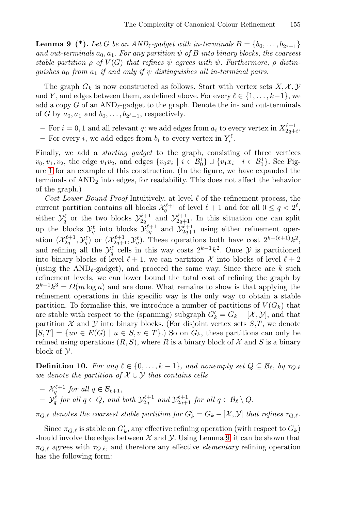**Lemma 9** (\*). Let G be an  $AND_{\ell}$ -gadget with in-terminals  $B = \{b_0, \ldots, b_{2^{\ell}-1}\}$ and out-terminals  $a_0, a_1$ . For any partition  $\psi$  of B into binary blocks, the coarsest *stable partition*  $\rho$  *of*  $V(G)$  *that refines*  $\psi$  *agrees with*  $\psi$ *. Furthermore,*  $\rho$  *distinguishes*  $a_0$  *from*  $a_1$  *if and only if*  $\psi$  *distinguishes all in-terminal pairs.* 

The graph  $G_k$  is now constructed as follows. Start with vertex sets  $X, \mathcal{X}, \mathcal{Y}$ and Y, and edges between them, as defined above. For every  $\ell \in \{1, \ldots, k-1\}$ , we add a copy G of an  $AND_{\ell}$ -gadget to the graph. Denote the in- and out-terminals of G by  $a_0, a_1$  and  $b_0, \ldots, b_{2^{\ell}-1}$ , respectively.

- $-$  For  $i = 0, 1$  and all relevant q: we add edges from  $a_i$  to every vertex in  $X_{2q+i}^{\ell+1}$ .
- $-$  For every *i*, we add edges from  $b_i$  to every vertex in  $Y_i^{\ell}$ .

Finally, we add a *starting gadget* to the graph, consisting of three vertices  $v_0, v_1, v_2$ , the edge  $v_1v_2$ , and edges  $\{v_0x_i \mid i \in \mathcal{B}_0^1\} \cup \{v_1x_i \mid i \in \mathcal{B}_1^1\}$ . See Figure 1 for an example of this construction. (In the figure, we have expanded the terminals of  $AND<sub>2</sub>$  into edges, for readability. This does not affect the behavior of the graph.)

<span id="page-10-0"></span>*Cost Lower Bound Proof* Intuitively, at level  $\ell$  of the refinement process, the current partition contains all blocks  $\mathcal{X}_a^{\ell+1}$  of level  $\ell+1$  and for all  $0 \leq q < 2^{\ell}$ , either  $\mathcal{Y}_q^{\ell}$  or the two blocks  $\mathcal{Y}_{2q}^{\ell+1}$  and  $\mathcal{Y}_{2q+1}^{\ell+1}$ . In this situation one can split up the blocks  $\mathcal{Y}_q^{\ell}$  into blocks  $\mathcal{Y}_{2q}^{\ell+1}$  and  $\mathcal{Y}_{2q+1}^{\ell+1}$  using either refinement operation  $(\mathcal{X}_{2q}^{\ell+1}, \mathcal{Y}_{q}^{\ell})$  or  $(\mathcal{X}_{2q+1}^{\ell+1}, \mathcal{Y}_{q}^{\ell})$ . These operations both have cost  $2^{k-(\ell+1)}k^2$ , and refining all the  $\mathcal{Y}_{q}^{\ell}$  cells in this way costs  $2^{k-1}k^2$ . Once  $\mathcal Y$  is partitioned into binary blocks of level  $\ell + 1$ , we can partition X into blocks of level  $\ell + 2$ (using the  $AND_{\ell}$ -gadget), and proceed the same way. Since there are k such refinement levels, we can lower bound the total cost of refining the graph by  $2^{k-1}k^3 = \Omega(m \log n)$  and are done. What remains to show is that applying the refinement operations in this specific way is the only way to obtain a stable partition. To formalise this, we introduce a number of partitions of  $V(G_k)$  that are stable with respect to the (spanning) subgraph  $G'_{k} = G_{k} - [\mathcal{X}, \mathcal{Y}]$ , and that partition  $X$  and  $Y$  into binary blocks. (For disjoint vertex sets  $S,T$ , we denote  $[S, T] = \{uv \in E(G) \mid u \in S, v \in T\}$ . So on  $G_k$ , these partitions can only be refined using operations  $(R, S)$ , where R is a binary block of X and S is a binary block of Y.

<span id="page-10-1"></span>**Definition 10.** *For any*  $\ell \in \{0, \ldots, k-1\}$ *, and nonempty set*  $Q \subseteq \mathcal{B}_{\ell}$ *, by*  $\tau_{Q,\ell}$ *we denote the partition of* X ∪Y *that contains cells*

$$
- \mathcal{X}_q^{\ell+1} \text{ for all } q \in \mathcal{B}_{\ell+1},
$$
  
-  $\mathcal{Y}_q^{\ell} \text{ for all } q \in Q, \text{ and both } \mathcal{Y}_{2q}^{\ell+1} \text{ and } \mathcal{Y}_{2q+1}^{\ell+1} \text{ for all } q \in \mathcal{B}_{\ell} \setminus Q.$ 

 $\pi_{Q,\ell}$  denotes the coarsest stable partition for  $G'_{k} = G_{k} - [\mathcal{X}, \mathcal{Y}]$  that refines  $\tau_{Q,\ell}$ .

Since  $\pi_{Q,\ell}$  is stable on  $G'_{k}$ , any effective refining operation (with respect to  $G_{k}$ ) should involve the edges between  $\mathcal X$  and  $\mathcal Y$ . Using Lemma 9, it can be shown that  $\pi_{Q,\ell}$  agrees with  $\tau_{Q,\ell}$ , and therefore any effective *elementary* refining operation has the following form: